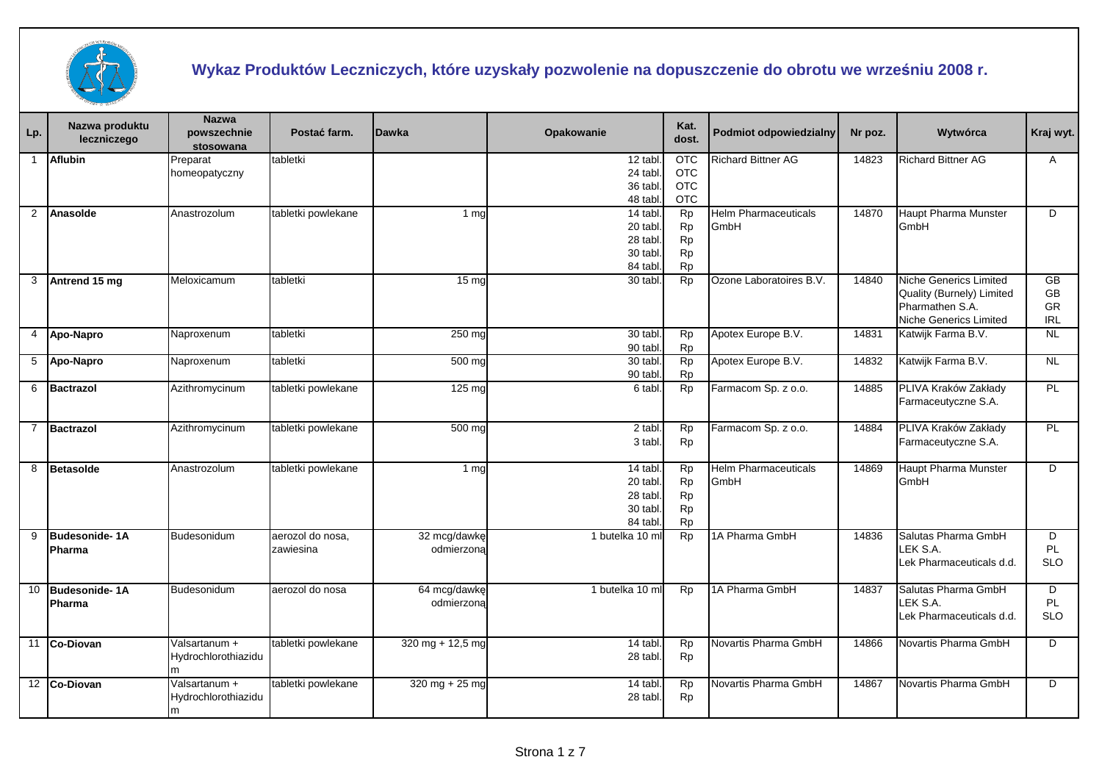

## **Wykaz Produktów Leczniczych, które uzyskały pozwolenie na dopuszczenie do obrotu we wrześniu 2008 r.**

| Lp.            | Nazwa produktu<br>leczniczego  | <b>Nazwa</b><br>powszechnie<br>stosowana  | Postać farm.                  | <b>Dawka</b>               | Opakowanie                                               | Kat.<br>dost.                                                 | <b>Podmiot odpowiedzialny</b>       | Nr poz. | Wytwórca                                                                                                | Kraj wyt.                    |
|----------------|--------------------------------|-------------------------------------------|-------------------------------|----------------------------|----------------------------------------------------------|---------------------------------------------------------------|-------------------------------------|---------|---------------------------------------------------------------------------------------------------------|------------------------------|
| $\overline{1}$ | <b>Aflubin</b>                 | Preparat<br>homeopatyczny                 | tabletki                      |                            | 12 tabl<br>24 tabl<br>36 tabl.<br>48 tabl                | <b>OTC</b><br><b>OTC</b><br><b>OTC</b><br><b>OTC</b>          | <b>Richard Bittner AG</b>           | 14823   | <b>Richard Bittner AG</b>                                                                               | A                            |
| $\overline{2}$ | Anasolde                       | Anastrozolum                              | tabletki powlekane            | 1 <sub>ma</sub>            | 14 tabl.<br>20 tabl.<br>28 tabl.<br>30 tabl.<br>84 tabl. | <b>Rp</b><br>Rp<br><b>Rp</b><br><b>Rp</b><br>Rp               | <b>Helm Pharmaceuticals</b><br>GmbH | 14870   | Haupt Pharma Munster<br>GmbH                                                                            | D                            |
| 3              | Antrend 15 mg                  | Meloxicamum                               | tabletki                      | 15 <sub>ma</sub>           | $30$ tabl.                                               | Rp                                                            | Ozone Laboratoires B.V.             | 14840   | <b>Niche Generics Limited</b><br>Quality (Burnely) Limited<br>Pharmathen S.A.<br>Niche Generics Limited | GB<br>GB<br>GR<br><b>IRL</b> |
| 4              | Apo-Napro                      | Naproxenum                                | tabletki                      | 250 mg                     | 30 tabl.<br>90 tabl.                                     | <b>Rp</b><br><b>Rp</b>                                        | Apotex Europe B.V.                  | 14831   | Katwijk Farma B.V.                                                                                      | <b>NL</b>                    |
| 5              | Apo-Napro                      | Naproxenum                                | tabletki                      | 500 mg                     | 30 tabl.<br>90 tabl                                      | Rp<br><b>Rp</b>                                               | Apotex Europe B.V.                  | 14832   | Katwijk Farma B.V.                                                                                      | <b>NL</b>                    |
| 6              | Bactrazol                      | Azithromycinum                            | tabletki powlekane            | 125 mg                     | 6 tabl.                                                  | Rp                                                            | Farmacom Sp. z o.o.                 | 14885   | PLIVA Kraków Zakłady<br>Farmaceutyczne S.A.                                                             | PL                           |
| 7              | Bactrazol                      | Azithromycinum                            | tabletki powlekane            | $500$ mg                   | 2 tabl.<br>3 tabl.                                       | Rp<br><b>Rp</b>                                               | Farmacom Sp. z o.o.                 | 14884   | PLIVA Kraków Zakłady<br>Farmaceutyczne S.A.                                                             | PL                           |
| 8              | Betasolde                      | Anastrozolum                              | tabletki powlekane            | 1 <sub>ma</sub>            | 14 tabl.<br>20 tabl.<br>28 tabl.<br>30 tabl.<br>84 tabl. | <b>Rp</b><br><b>Rp</b><br><b>Rp</b><br><b>Rp</b><br><b>Rp</b> | <b>Helm Pharmaceuticals</b><br>GmbH | 14869   | Haupt Pharma Munster<br>GmbH                                                                            | D                            |
| 9              | Budesonide-1A<br><b>Pharma</b> | Budesonidum                               | aerozol do nosa,<br>zawiesina | 32 mcg/dawkę<br>odmierzona | 1 butelka 10 ml                                          | Rp                                                            | 1A Pharma GmbH                      | 14836   | Salutas Pharma GmbH<br>LEK S.A.<br>Lek Pharmaceuticals d.d.                                             | D<br><b>PL</b><br><b>SLO</b> |
|                | 10 Budesonide-1A<br>Pharma     | Budesonidum                               | aerozol do nosa               | 64 mcg/dawkę<br>odmierzona | 1 butelka 10 ml                                          | <b>Rp</b>                                                     | 1A Pharma GmbH                      | 14837   | Salutas Pharma GmbH<br>LEK S.A.<br>Lek Pharmaceuticals d.d.                                             | D<br>PL.<br><b>SLO</b>       |
|                | 11 Co-Diovan                   | Valsartanum +<br>Hydrochlorothiazidu      | tabletki powlekane            | 320 mg + 12,5 mg           | 14 tabl.<br>28 tabl.                                     | <b>Rp</b><br>Rp                                               | Novartis Pharma GmbH                | 14866   | Novartis Pharma GmbH                                                                                    | D                            |
|                | 12 Co-Diovan                   | Valsartanum +<br>Hydrochlorothiazidu<br>m | tabletki powlekane            | $320$ mg + 25 mg           | 14 tabl.<br>28 tabl                                      | Rp<br><b>Rp</b>                                               | Novartis Pharma GmbH                | 14867   | Novartis Pharma GmbH                                                                                    | D                            |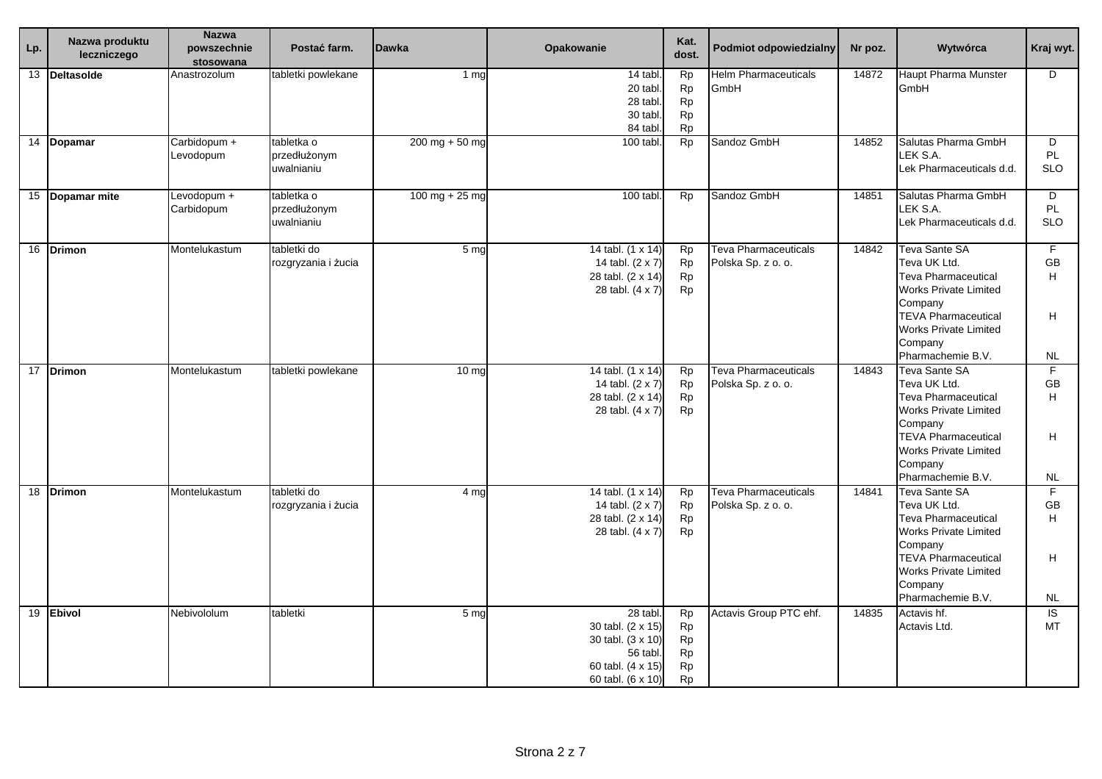| Lp. | Nazwa produktu<br>leczniczego | <b>Nazwa</b><br>powszechnie<br>stosowana | Postać farm.                             | <b>Dawka</b>     | Opakowanie                                                                                              | Kat.<br>dost.                                                 | <b>Podmiot odpowiedzialny</b>                     | Nr poz. | Wytwórca                                                                                                                                                                                                    | Kraj wyt.                              |
|-----|-------------------------------|------------------------------------------|------------------------------------------|------------------|---------------------------------------------------------------------------------------------------------|---------------------------------------------------------------|---------------------------------------------------|---------|-------------------------------------------------------------------------------------------------------------------------------------------------------------------------------------------------------------|----------------------------------------|
|     | 13 Deltasolde                 | Anastrozolum                             | tabletki powlekane                       | 1 <sub>mg</sub>  | 14 tabl<br>20 tabl.<br>28 tabl.<br>30 tabl.<br>84 tabl                                                  | <b>Rp</b><br><b>Rp</b><br><b>Rp</b><br><b>Rp</b><br><b>Rp</b> | <b>Helm Pharmaceuticals</b><br>GmbH               | 14872   | <b>Haupt Pharma Munster</b><br>GmbH                                                                                                                                                                         | D                                      |
|     | $\overline{14}$ Dopamar       | Carbidopum +<br>Levodopum                | tabletka o<br>przedłużonym<br>uwalnianiu | $200$ mg + 50 mg | 100 tabl.                                                                                               | <b>Rp</b>                                                     | Sandoz GmbH                                       | 14852   | Salutas Pharma GmbH<br>LEK S.A.<br>Lek Pharmaceuticals d.d.                                                                                                                                                 | D<br>PL<br><b>SLO</b>                  |
|     | 15 Dopamar mite               | Levodopum +<br>Carbidopum                | tabletka o<br>przedłużonym<br>uwalnianiu | $100$ mg + 25 mg | 100 tabl.                                                                                               | <b>Rp</b>                                                     | Sandoz GmbH                                       | 14851   | Salutas Pharma GmbH<br>LEK S.A.<br>Lek Pharmaceuticals d.d.                                                                                                                                                 | D<br><b>PL</b><br><b>SLO</b>           |
|     | 16 Drimon                     | Montelukastum                            | tabletki do<br>rozgryzania i żucia       | 5 <sub>ma</sub>  | 14 tabl. (1 x 14)<br>14 tabl. (2 x 7)<br>28 tabl. (2 x 14)<br>28 tabl. (4 x 7)                          | <b>Rp</b><br><b>Rp</b><br>Rp<br>Rp                            | Teva Pharmaceuticals<br>Polska Sp. z o. o.        | 14842   | Teva Sante SA<br>Teva UK Ltd.<br><b>Teva Pharmaceutical</b><br><b>Works Private Limited</b><br>Company<br><b>TEVA Pharmaceutical</b><br><b>Works Private Limited</b><br>Company<br>Pharmachemie B.V.        | F.<br>GB<br>H<br>H.<br><b>NL</b>       |
|     | 17 Drimon                     | Montelukastum                            | tabletki powlekane                       | 10 <sub>ma</sub> | 14 tabl. (1 x 14)<br>14 tabl. (2 x 7)<br>28 tabl. (2 x 14)<br>28 tabl. (4 x 7)                          | <b>Rp</b><br>Rp<br>Rp<br>Rp                                   | <b>Teva Pharmaceuticals</b><br>Polska Sp. z o. o. | 14843   | <b>Teva Sante SA</b><br>Teva UK Ltd.<br><b>Teva Pharmaceutical</b><br><b>Works Private Limited</b><br>Company<br><b>TEVA Pharmaceutical</b><br><b>Works Private Limited</b><br>Company<br>Pharmachemie B.V. | F<br><b>GB</b><br>H<br>H.<br><b>NL</b> |
|     | 18 Drimon                     | Montelukastum                            | tabletki do<br>rozgryzania i żucia       | 4 ma             | 14 tabl. (1 x 14)<br>14 tabl. (2 x 7)<br>28 tabl. (2 x 14)<br>28 tabl. (4 x 7)                          | Rp<br>Rp<br>Rp<br>Rp                                          | <b>Teva Pharmaceuticals</b><br>Polska Sp. z o. o. | 14841   | Teva Sante SA<br>Teva UK Ltd.<br><b>Teva Pharmaceutical</b><br><b>Works Private Limited</b><br>Company<br><b>TEVA Pharmaceutical</b><br>Works Private Limited<br>Company<br>Pharmachemie B.V.               | F.<br><b>GB</b><br>H<br>H<br><b>NL</b> |
|     | 19 Ebivol                     | Nebivololum                              | tabletki                                 | 5 <sub>mg</sub>  | 28 tabl<br>30 tabl. (2 x 15)<br>30 tabl. (3 x 10)<br>56 tabl.<br>60 tabl. (4 x 15)<br>60 tabl. (6 x 10) | <b>Rp</b><br>Rp<br>Rp<br>Rp<br>Rp<br><b>Rp</b>                | Actavis Group PTC ehf.                            | 14835   | Actavis hf.<br>Actavis Ltd.                                                                                                                                                                                 | IS.<br>MT                              |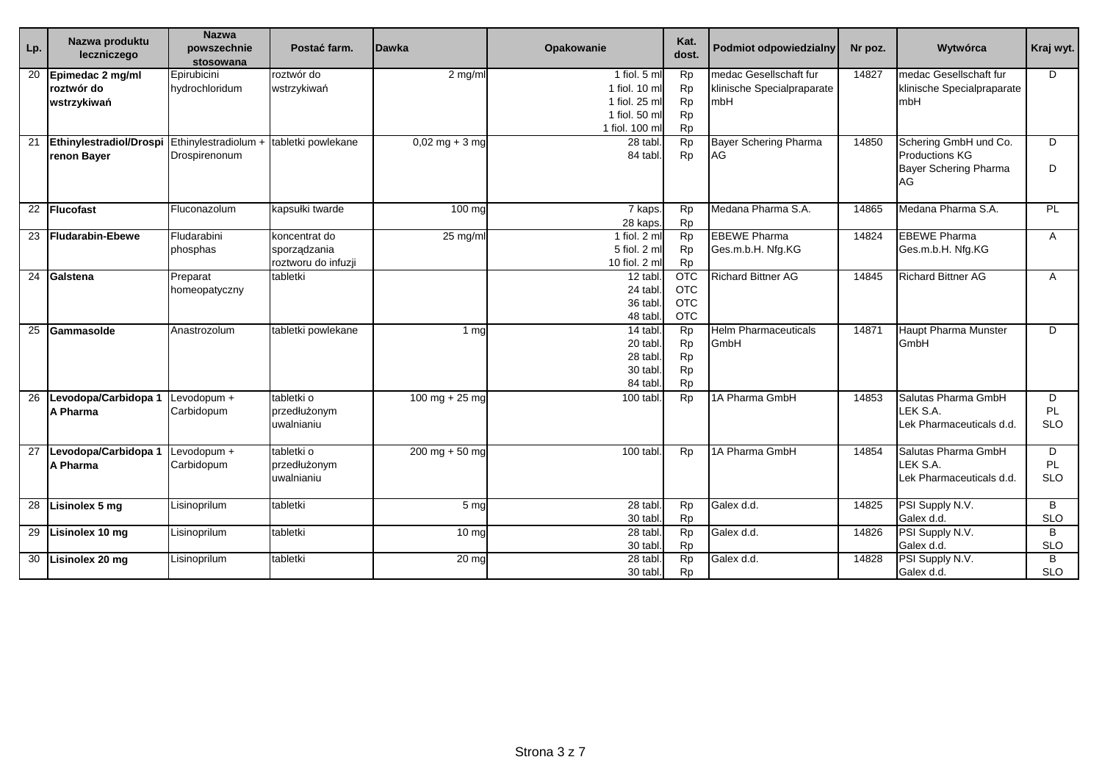| Lp. | Nazwa produktu<br>leczniczego                 | <b>Nazwa</b><br>powszechnie<br>stosowana | Postać farm.                                         | <b>Dawka</b>                     | Opakowanie                                                                        | Kat.<br>dost.                                                 | <b>Podmiot odpowiedzialny</b>                               | Nr poz. | Wytwórca                                                                             | Kraj wyt.              |
|-----|-----------------------------------------------|------------------------------------------|------------------------------------------------------|----------------------------------|-----------------------------------------------------------------------------------|---------------------------------------------------------------|-------------------------------------------------------------|---------|--------------------------------------------------------------------------------------|------------------------|
| 20  | Epimedac 2 mg/ml<br>roztwór do<br>wstrzykiwań | Epirubicini<br>hydrochloridum            | roztwór do<br>wstrzykiwań                            | 2 mg/ml                          | 1 fiol. 5 ml<br>1 fiol. 10 ml<br>1 fiol. 25 ml<br>1 fiol. 50 ml<br>1 fiol. 100 ml | <b>Rp</b><br><b>Rp</b><br><b>Rp</b><br><b>Rp</b><br><b>Rp</b> | medac Gesellschaft fur<br>klinische Specialpraparate<br>mbH | 14827   | medac Gesellschaft fur<br>klinische Specialpraparate<br>mbH                          | D                      |
| 21  | Ethinylestradiol/Drospi<br>renon Bayer        | Ethinylestradiolum +<br>Drospirenonum    | tabletki powlekane                                   | $0,02 \text{ mg} + 3 \text{ mg}$ | 28 tabl.<br>84 tabl.                                                              | Rp<br><b>Rp</b>                                               | <b>Bayer Schering Pharma</b><br>AG                          | 14850   | Schering GmbH und Co.<br><b>Productions KG</b><br><b>Bayer Schering Pharma</b><br>AG | D<br>D                 |
|     | 22 Flucofast                                  | Fluconazolum                             | kapsułki twarde                                      | 100 mg                           | 7 kaps.<br>28 kaps.                                                               | Rp<br>Rp                                                      | Medana Pharma S.A.                                          | 14865   | Medana Pharma S.A.                                                                   | PL                     |
| 23  | Fludarabin-Ebewe                              | Fludarabini<br>phosphas                  | koncentrat do<br>sporządzania<br>roztworu do infuzji | 25 mg/ml                         | 1 fiol. 2 ml<br>5 fiol. 2 ml<br>10 fiol. 2 ml                                     | <b>Rp</b><br><b>Rp</b><br><b>Rp</b>                           | <b>EBEWE Pharma</b><br>Ges.m.b.H. Nfg.KG                    | 14824   | <b>EBEWE Pharma</b><br>Ges.m.b.H. Nfg.KG                                             | A                      |
| 24  | Galstena                                      | Preparat<br>homeopatyczny                | tabletki                                             |                                  | 12 tabl.<br>24 tabl.<br>36 tabl.<br>48 tabl.                                      | $\overline{OTC}$<br><b>OTC</b><br><b>OTC</b><br><b>OTC</b>    | <b>Richard Bittner AG</b>                                   | 14845   | <b>Richard Bittner AG</b>                                                            | Α                      |
| 25  | Gammasolde                                    | Anastrozolum                             | tabletki powlekane                                   | 1 <sub>ma</sub>                  | 14 tabl.<br>20 tabl.<br>28 tabl.<br>30 tabl.<br>84 tabl.                          | <b>Rp</b><br>Rp<br><b>Rp</b><br><b>Rp</b><br><b>Rp</b>        | <b>Helm Pharmaceuticals</b><br>GmbH                         | 14871   | <b>Haupt Pharma Munster</b><br>GmbH                                                  | D                      |
|     | 26 Levodopa/Carbidopa 1<br>A Pharma           | Levodopum +<br>Carbidopum                | tabletki o<br>przedłużonym<br>uwalnianiu             | 100 mg + 25 mg                   | 100 tabl.                                                                         | <b>Rp</b>                                                     | 1A Pharma GmbH                                              | 14853   | Salutas Pharma GmbH<br>LEK S.A.<br>Lek Pharmaceuticals d.d.                          | D<br>PL.<br><b>SLO</b> |
| 27  | Levodopa/Carbidopa 1<br>A Pharma              | Levodopum +<br>Carbidopum                | tabletki o<br>przedłużonym<br>uwalnianiu             | $200$ mg + 50 mg                 | 100 tabl.                                                                         | <b>Rp</b>                                                     | 1A Pharma GmbH                                              | 14854   | Salutas Pharma GmbH<br>LEK S.A.<br>Lek Pharmaceuticals d.d.                          | D<br>PL.<br><b>SLO</b> |
|     | 28 Lisinolex 5 mg                             | Lisinoprilum                             | tabletki                                             | 5 mg                             | 28 tabl.<br>30 tabl.                                                              | <b>Rp</b><br><b>Rp</b>                                        | Galex d.d.                                                  | 14825   | PSI Supply N.V.<br>Galex d.d.                                                        | B<br><b>SLO</b>        |
|     | 29 Lisinolex 10 mg                            | Lisinoprilum                             | tabletki                                             | $10 \mathrm{mg}$                 | 28 tabl.<br>30 tabl.                                                              | <b>Rp</b><br><b>Rp</b>                                        | Galex d.d.                                                  | 14826   | PSI Supply N.V.<br>Galex d.d.                                                        | B<br><b>SLO</b>        |
|     | 30 Lisinolex 20 mg                            | Lisinoprilum                             | tabletki                                             | 20 <sub>mg</sub>                 | 28 tabl.<br>30 tabl.                                                              | <b>Rp</b><br>Rp                                               | Galex d.d.                                                  | 14828   | PSI Supply N.V.<br>Galex d.d.                                                        | B<br><b>SLO</b>        |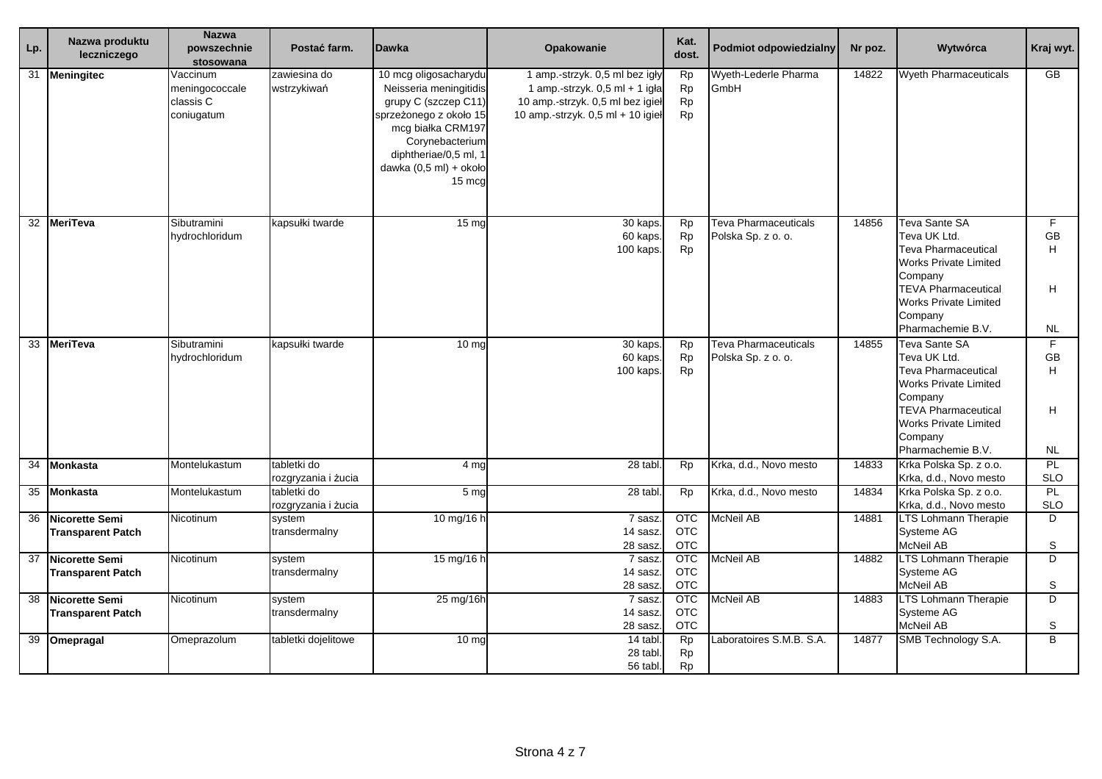| $\overline{L}$ | Nazwa produktu                                    | <b>Nazwa</b><br>powszechnie                           | Postać farm.                       | <b>Dawka</b>                                                                                                                                                                                           | <b>Opakowanie</b>                                                                                                                         | Kat.                                   | <b>Podmiot odpowiedzialny</b>                     | Nr poz. | Wytwórca                                                                                                                                                                                                    | Kraj wyt.                                            |
|----------------|---------------------------------------------------|-------------------------------------------------------|------------------------------------|--------------------------------------------------------------------------------------------------------------------------------------------------------------------------------------------------------|-------------------------------------------------------------------------------------------------------------------------------------------|----------------------------------------|---------------------------------------------------|---------|-------------------------------------------------------------------------------------------------------------------------------------------------------------------------------------------------------------|------------------------------------------------------|
|                | leczniczego                                       | stosowana                                             |                                    |                                                                                                                                                                                                        |                                                                                                                                           | dost.                                  |                                                   |         |                                                                                                                                                                                                             |                                                      |
| 31             | <b>Meningitec</b>                                 | Vaccinum<br>meningococcale<br>classis C<br>coniugatum | zawiesina do<br>wstrzykiwań        | 10 mcg oligosacharydu<br>Neisseria meningitidis<br>grupy C (szczep C11)<br>sprzeżonego z około 15<br>mcg białka CRM197<br>Corynebacterium<br>diphtheriae/0,5 ml, 1<br>dawka (0,5 ml) + około<br>15 mcg | 1 amp.-strzyk. 0,5 ml bez igły<br>1 amp.-strzyk. 0,5 ml + 1 igła<br>10 amp.-strzyk. 0,5 ml bez igieł<br>10 amp.-strzyk. 0,5 ml + 10 igieł | Rp<br><b>Rp</b><br>Rp<br>Rp            | Wyeth-Lederle Pharma<br>GmbH                      | 14822   | <b>Wyeth Pharmaceuticals</b>                                                                                                                                                                                | $\overline{GB}$                                      |
| 32             | <b>MeriTeva</b>                                   | Sibutramini<br>hydrochloridum                         | kapsułki twarde                    | 15 <sub>mg</sub>                                                                                                                                                                                       | 30 kaps.<br>60 kaps.<br>100 kaps.                                                                                                         | Rp<br>Rp<br><b>Rp</b>                  | <b>Teva Pharmaceuticals</b><br>Polska Sp. z o. o. | 14856   | <b>Teva Sante SA</b><br>Teva UK Ltd.<br>Teva Pharmaceutical<br><b>Works Private Limited</b><br>Company<br><b>TEVA Pharmaceutical</b><br><b>Works Private Limited</b><br>Company<br>Pharmachemie B.V.        | F<br><b>GB</b><br>H.<br>H<br><b>NL</b>               |
|                | 33 MeriTeva                                       | Sibutramini<br>hydrochloridum                         | kapsułki twarde                    | 10 <sub>mg</sub>                                                                                                                                                                                       | 30 kaps.<br>60 kaps.<br>100 kaps.                                                                                                         | Rp<br><b>Rp</b><br><b>Rp</b>           | <b>Teva Pharmaceuticals</b><br>Polska Sp. z o. o. | 14855   | <b>Teva Sante SA</b><br>Teva UK Ltd.<br><b>Teva Pharmaceutical</b><br><b>Works Private Limited</b><br>Company<br><b>TEVA Pharmaceutical</b><br><b>Works Private Limited</b><br>Company<br>Pharmachemie B.V. | $\overline{F}$<br><b>GB</b><br>H.<br>H.<br><b>NL</b> |
| 34             | <b>Monkasta</b>                                   | Montelukastum                                         | tabletki do<br>rozgryzania i żucia | 4 mg                                                                                                                                                                                                   | 28 tabl                                                                                                                                   | <b>Rp</b>                              | Krka, d.d., Novo mesto                            | 14833   | Krka Polska Sp. z o.o.<br>Krka, d.d., Novo mesto                                                                                                                                                            | <b>PL</b><br><b>SLO</b>                              |
|                | 35 Monkasta                                       | Montelukastum                                         | tabletki do<br>rozgryzania i żucia | 5 <sub>mq</sub>                                                                                                                                                                                        | 28 tabl                                                                                                                                   | <b>Rp</b>                              | Krka, d.d., Novo mesto                            | 14834   | Krka Polska Sp. z o.o.<br>Krka, d.d., Novo mesto                                                                                                                                                            | <b>PL</b><br><b>SLO</b>                              |
| 36             | Nicorette Semi<br><b>Transparent Patch</b>        | Nicotinum                                             | system<br>transdermalny            | 10 mg/16 h                                                                                                                                                                                             | 7 sasz<br>14 sasz<br>28 sasz                                                                                                              | <b>OTC</b><br><b>OTC</b><br><b>OTC</b> | McNeil AB                                         | 14881   | <b>LTS Lohmann Therapie</b><br>Systeme AG<br>McNeil AB                                                                                                                                                      | D.<br>S                                              |
| 37             | <b>Nicorette Semi</b><br><b>Transparent Patch</b> | Nicotinum                                             | system<br>transdermalny            | 15 mg/16 h                                                                                                                                                                                             | 7 sasz<br>14 sasz.<br>28 sasz                                                                                                             | <b>OTC</b><br><b>OTC</b><br><b>OTC</b> | McNeil AB                                         | 14882   | <b>LTS Lohmann Therapie</b><br>Systeme AG<br>McNeil AB                                                                                                                                                      | D<br>S                                               |
| 38             | Nicorette Semi<br><b>Transparent Patch</b>        | Nicotinum                                             | system<br>transdermalny            | 25 mg/16h                                                                                                                                                                                              | 7 sasz<br>14 sasz.<br>28 sasz                                                                                                             | <b>OTC</b><br><b>OTC</b><br><b>OTC</b> | McNeil AB                                         | 14883   | <b>LTS Lohmann Therapie</b><br>Systeme AG<br>McNeil AB                                                                                                                                                      | D<br>S                                               |
|                | 39 Omepragal                                      | Omeprazolum                                           | tabletki dojelitowe                | 10 <sub>mg</sub>                                                                                                                                                                                       | 14 tabl<br>28 tabl<br>56 tabl                                                                                                             | <b>Rp</b><br><b>Rp</b><br><b>Rp</b>    | Laboratoires S.M.B. S.A.                          | 14877   | SMB Technology S.A.                                                                                                                                                                                         | $\overline{B}$                                       |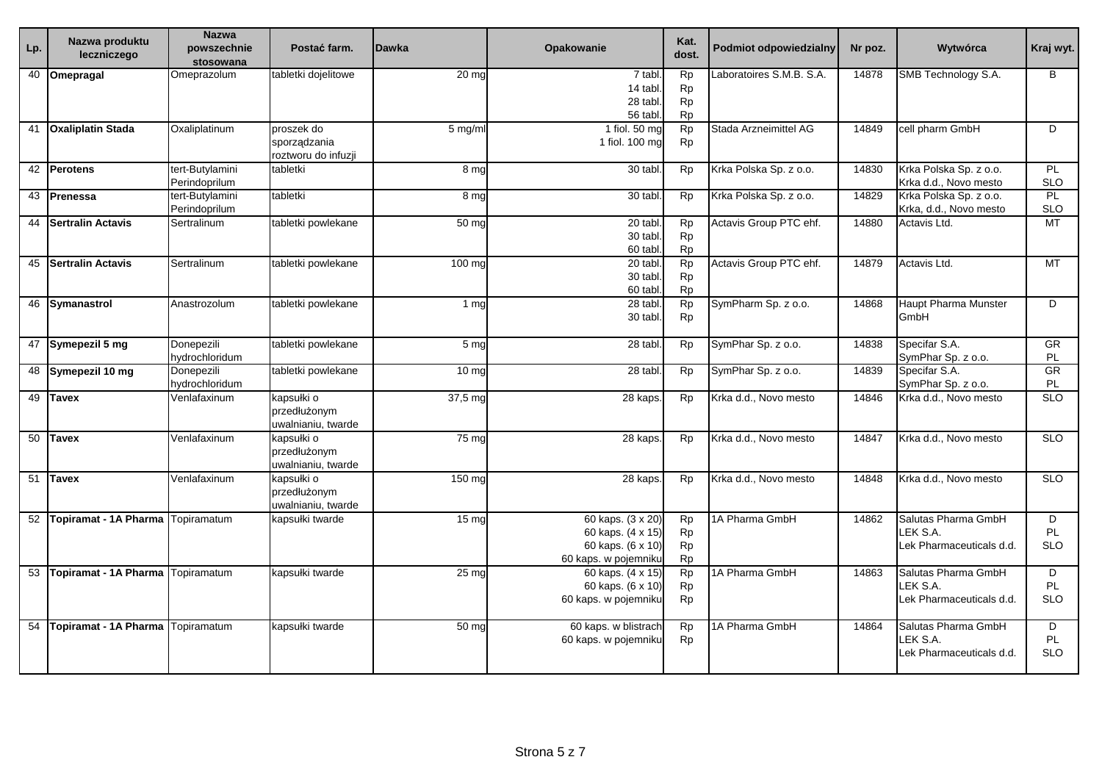| Lp. | Nazwa produktu<br>leczniczego | <b>Nazwa</b><br>powszechnie<br>stosowana | Postać farm.                                      | <b>Dawka</b>     | <b>Opakowanie</b>                                                                   | Kat.<br>dost.                                    | <b>Podmiot odpowiedzialny</b> | Nr poz. | Wytwórca                                                    | Kraj wyt.                           |
|-----|-------------------------------|------------------------------------------|---------------------------------------------------|------------------|-------------------------------------------------------------------------------------|--------------------------------------------------|-------------------------------|---------|-------------------------------------------------------------|-------------------------------------|
|     | $\overline{40}$ Omepragal     | Omeprazolum                              | tabletki dojelitowe                               | 20 <sub>mg</sub> | 7 tabl<br>14 tabl.<br>28 tabl.<br>56 tabl.                                          | Rp<br><b>Rp</b><br>Rp<br><b>Rp</b>               | aboratoires S.M.B. S.A.       | 14878   | SMB Technology S.A.                                         | B                                   |
|     | 41 Oxaliplatin Stada          | Oxaliplatinum                            | proszek do<br>sporządzania<br>roztworu do infuzji | 5 mg/ml          | 1 fiol. 50 mg<br>1 fiol. 100 mg                                                     | Rp<br><b>Rp</b>                                  | Stada Arzneimittel AG         | 14849   | cell pharm GmbH                                             | D                                   |
|     | 42 Perotens                   | tert-Butylamini<br>Perindoprilum         | tabletki                                          | 8 mg             | 30 tabl                                                                             | <b>Rp</b>                                        | Krka Polska Sp. z o.o.        | 14830   | Krka Polska Sp. z o.o.<br>Krka d.d., Novo mesto             | PL<br><b>SLO</b>                    |
|     | 43 Prenessa                   | tert-Butylamini<br>Perindoprilum         | tabletki                                          | 8 mg             | 30 tabl                                                                             | <b>Rp</b>                                        | Krka Polska Sp. z o.o.        | 14829   | Krka Polska Sp. z o.o.<br>Krka, d.d., Novo mesto            | PL<br><b>SLO</b>                    |
| 44  | <b>Sertralin Actavis</b>      | Sertralinum                              | tabletki powlekane                                | 50 mg            | 20 tabl.<br>30 tabl.<br>60 tabl                                                     | Rp<br>Rp<br>Rp                                   | Actavis Group PTC ehf.        | 14880   | Actavis Ltd.                                                | <b>MT</b>                           |
|     | 45 Sertralin Actavis          | Sertralinum                              | tabletki powlekane                                | 100 mg           | 20 tabl<br>30 tabl.<br>60 tabl.                                                     | Rp<br><b>Rp</b><br><b>Rp</b>                     | Actavis Group PTC ehf.        | 14879   | Actavis Ltd.                                                | <b>MT</b>                           |
|     | 46 Symanastrol                | Anastrozolum                             | tabletki powlekane                                | 1 <sub>mg</sub>  | 28 tabl.<br>30 tabl.                                                                | Rp<br><b>Rp</b>                                  | SymPharm Sp. z o.o.           | 14868   | Haupt Pharma Munster<br>GmbH                                | D                                   |
|     | 47 Symepezil 5 mg             | Donepezili<br>hydrochloridum             | tabletki powlekane                                | 5 <sub>ma</sub>  | 28 tabl                                                                             | <b>Rp</b>                                        | SymPhar Sp. z o.o.            | 14838   | Specifar S.A.<br>SymPhar Sp. z o.o.                         | <b>GR</b><br><b>PL</b>              |
|     | 48 Symepezil 10 mg            | Donepezili<br>hydrochloridum             | tabletki powlekane                                | 10 <sub>mg</sub> | 28 tabl                                                                             | <b>Rp</b>                                        | SymPhar Sp. z o.o.            | 14839   | Specifar S.A.<br>SymPhar Sp. z o.o.                         | $\overline{\text{GR}}$<br><b>PL</b> |
|     | 49 Tavex                      | Venlafaxinum                             | kapsułki o<br>przedłużonym<br>uwalnianiu, twarde  | 37,5 mg          | 28 kaps.                                                                            | <b>Rp</b>                                        | Krka d.d., Novo mesto         | 14846   | Krka d.d., Novo mesto                                       | <b>SLO</b>                          |
|     | 50 Tavex                      | Venlafaxinum                             | kapsułki o<br>przedłużonym<br>uwalnianiu, twarde  | 75 <sub>mg</sub> | 28 kaps.                                                                            | Rp                                               | Krka d.d., Novo mesto         | 14847   | Krka d.d., Novo mesto                                       | <b>SLO</b>                          |
| 51  | <b>Tavex</b>                  | Venlafaxinum                             | kapsułki o<br>przedłużonym<br>uwalnianiu, twarde  | 150 mg           | 28 kaps                                                                             | Rp                                               | Krka d.d., Novo mesto         | 14848   | Krka d.d., Novo mesto                                       | <b>SLO</b>                          |
|     | 52 Topiramat - 1A Pharma      | Topiramatum                              | kapsułki twarde                                   | 15 <sub>ma</sub> | 60 kaps. (3 x 20)<br>60 kaps. (4 x 15)<br>60 kaps. (6 x 10)<br>60 kaps. w pojemniku | <b>Rp</b><br><b>Rp</b><br><b>Rp</b><br><b>Rp</b> | 1A Pharma GmbH                | 14862   | Salutas Pharma GmbH<br>LEK S.A.<br>Lek Pharmaceuticals d.d. | D<br>PL<br><b>SLO</b>               |
|     | 53 Topiramat - 1A Pharma      | Topiramatum                              | kapsułki twarde                                   | 25 <sub>ma</sub> | 60 kaps. (4 x 15)<br>60 kaps. (6 x 10)<br>60 kaps. w pojemniku                      | Rp<br><b>Rp</b><br><b>Rp</b>                     | 1A Pharma GmbH                | 14863   | Salutas Pharma GmbH<br>LEK S.A.<br>Lek Pharmaceuticals d.d. | D<br>PL<br><b>SLO</b>               |
| 54  | Topiramat - 1A Pharma         | Topiramatum                              | kapsułki twarde                                   | 50 mg            | 60 kaps. w blistrach<br>60 kaps. w pojemniku                                        | Rp<br><b>Rp</b>                                  | 1A Pharma GmbH                | 14864   | Salutas Pharma GmbH<br>LEK S.A.<br>Lek Pharmaceuticals d.d. | D<br>PL<br><b>SLO</b>               |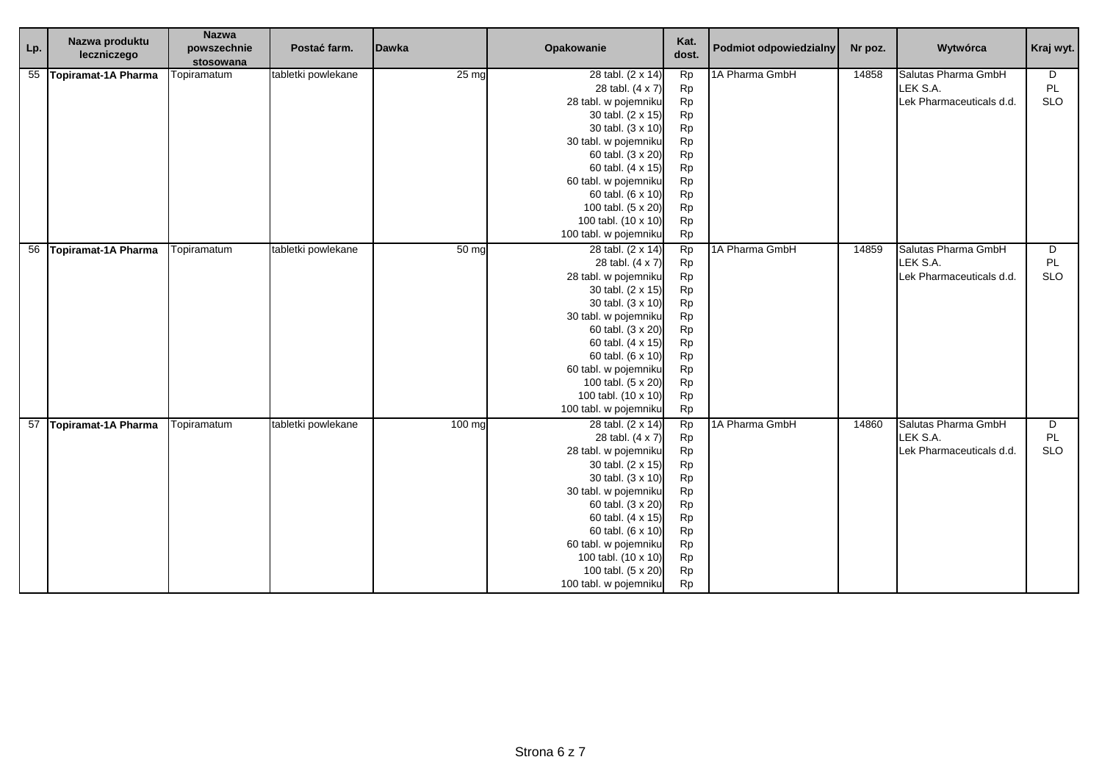| Lp. | Nazwa produktu<br>leczniczego | <b>Nazwa</b><br>powszechnie<br>stosowana | Postać farm.       | <b>Dawka</b>     | Opakowanie                 | Kat.<br>dost. | Podmiot odpowiedzialny | Nr poz. | Wytwórca                 | Kraj wyt.  |
|-----|-------------------------------|------------------------------------------|--------------------|------------------|----------------------------|---------------|------------------------|---------|--------------------------|------------|
|     | 55 Topiramat-1A Pharma        | Topiramatum                              | tabletki powlekane | 25 mg            | 28 tabl. (2 x 14)          | <b>Rp</b>     | 1A Pharma GmbH         | 14858   | Salutas Pharma GmbH      | D          |
|     |                               |                                          |                    |                  | 28 tabl. (4 x 7)           | Rp            |                        |         | LEK S.A.                 | PL         |
|     |                               |                                          |                    |                  | 28 tabl. w pojemniku       | Rp            |                        |         | Lek Pharmaceuticals d.d. | <b>SLO</b> |
|     |                               |                                          |                    |                  | 30 tabl. (2 x 15)          | Rp            |                        |         |                          |            |
|     |                               |                                          |                    |                  | 30 tabl. (3 x 10)          | Rp            |                        |         |                          |            |
|     |                               |                                          |                    |                  | 30 tabl. w pojemniku       | Rp            |                        |         |                          |            |
|     |                               |                                          |                    |                  | 60 tabl. (3 x 20)          | Rp            |                        |         |                          |            |
|     |                               |                                          |                    |                  | 60 tabl. (4 x 15)          | Rp            |                        |         |                          |            |
|     |                               |                                          |                    |                  | 60 tabl. w pojemniku       | Rp            |                        |         |                          |            |
|     |                               |                                          |                    |                  | 60 tabl. (6 x 10)          | Rp            |                        |         |                          |            |
|     |                               |                                          |                    |                  | 100 tabl. (5 x 20)         | Rp            |                        |         |                          |            |
|     |                               |                                          |                    |                  | 100 tabl. (10 x 10)        | Rp            |                        |         |                          |            |
|     |                               |                                          |                    |                  | 100 tabl. w pojemniku      | <b>Rp</b>     |                        |         |                          |            |
|     | 56 Topiramat-1A Pharma        | Topiramatum                              | tabletki powlekane | 50 <sub>ma</sub> | 28 tabl. (2 x 14)          | Rp            | 1A Pharma GmbH         | 14859   | Salutas Pharma GmbH      | D          |
|     |                               |                                          |                    |                  | 28 tabl. (4 x 7)           | Rp            |                        |         | LEK S.A.                 | PL         |
|     |                               |                                          |                    |                  | 28 tabl. w pojemniku       | Rp            |                        |         | Lek Pharmaceuticals d.d. | <b>SLO</b> |
|     |                               |                                          |                    |                  | 30 tabl. (2 x 15)          | Rp            |                        |         |                          |            |
|     |                               |                                          |                    |                  | 30 tabl. (3 x 10)          | Rp            |                        |         |                          |            |
|     |                               |                                          |                    |                  | 30 tabl. w pojemniku       | Rp            |                        |         |                          |            |
|     |                               |                                          |                    |                  | 60 tabl. (3 x 20)          | <b>Rp</b>     |                        |         |                          |            |
|     |                               |                                          |                    |                  | 60 tabl. (4 x 15)          | Rp            |                        |         |                          |            |
|     |                               |                                          |                    |                  | 60 tabl. (6 x 10)          | Rp            |                        |         |                          |            |
|     |                               |                                          |                    |                  | 60 tabl. w pojemniku       | Rp            |                        |         |                          |            |
|     |                               |                                          |                    |                  | 100 tabl. (5 x 20)         | Rp            |                        |         |                          |            |
|     |                               |                                          |                    |                  | 100 tabl. (10 x 10)        | Rp            |                        |         |                          |            |
|     |                               |                                          |                    |                  | 100 tabl. w pojemniku      | <b>Rp</b>     |                        |         |                          |            |
|     | 57 Topiramat-1A Pharma        | Topiramatum                              | tabletki powlekane | 100 mg           | $\sqrt{28}$ tabl. (2 x 14) | <b>Rp</b>     | 1A Pharma GmbH         | 14860   | Salutas Pharma GmbH      | D          |
|     |                               |                                          |                    |                  | 28 tabl. (4 x 7)           | Rp            |                        |         | LEK S.A.                 | PL         |
|     |                               |                                          |                    |                  | 28 tabl. w pojemniku       | Rp            |                        |         | Lek Pharmaceuticals d.d. | <b>SLO</b> |
|     |                               |                                          |                    |                  | 30 tabl. (2 x 15)          | <b>Rp</b>     |                        |         |                          |            |
|     |                               |                                          |                    |                  | 30 tabl. (3 x 10)          | Rp            |                        |         |                          |            |
|     |                               |                                          |                    |                  | 30 tabl. w pojemniku       | Rp            |                        |         |                          |            |
|     |                               |                                          |                    |                  | 60 tabl. (3 x 20)          | Rp            |                        |         |                          |            |
|     |                               |                                          |                    |                  | 60 tabl. (4 x 15)          | Rp            |                        |         |                          |            |
|     |                               |                                          |                    |                  | 60 tabl. (6 x 10)          | <b>Rp</b>     |                        |         |                          |            |
|     |                               |                                          |                    |                  | 60 tabl. w pojemniku       | <b>Rp</b>     |                        |         |                          |            |
|     |                               |                                          |                    |                  | 100 tabl. (10 x 10)        | Rp            |                        |         |                          |            |
|     |                               |                                          |                    |                  | 100 tabl. (5 x 20)         | Rp            |                        |         |                          |            |
|     |                               |                                          |                    |                  | 100 tabl. w pojemniku      | <b>Rp</b>     |                        |         |                          |            |